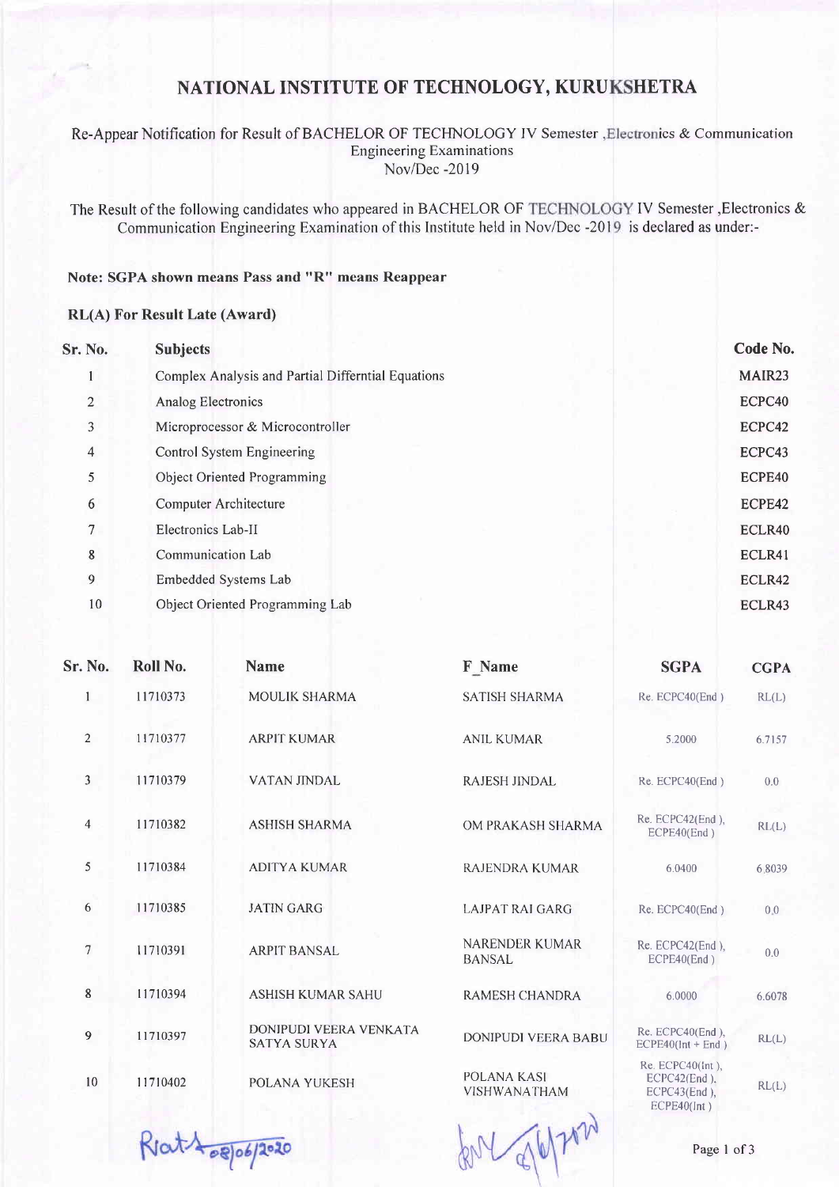## NATIONAL INSTITUTE OF TECHNOLOGY, KURUKSHETRA

### Re-Appear Notification for Result of BACHELOR OF TECHNOLOGY IV Semester , Electronics & Communication **Engineering Examinations** Nov/Dec -2019

The Result of the following candidates who appeared in BACHELOR OF TECHNOLOGY IV Semester , Electronics & Communication Engineering Examination of this Institute held in Nov/Dec -201 is declared as under:-

## Note: SGPA shown means Pass and "R" means Reappear

#### RL(A) For Result Late (Award)

| Sr. No.        | <b>Subjects</b>                                    | Code No. |
|----------------|----------------------------------------------------|----------|
|                | Complex Analysis and Partial Differntial Equations | MAIR23   |
| $\overline{2}$ | <b>Analog Electronics</b>                          | ECPC40   |
| 3              | Microprocessor & Microcontroller                   | ECPC42   |
| $\overline{4}$ | Control System Engineering                         | ECPC43   |
| 5              | Object Oriented Programming                        | ECPE40   |
| 6              | Computer Architecture                              | ECPE42   |
| $\tau$         | Electronics Lab-II                                 | ECLR40   |
| 8              | Communication Lab                                  | ECLR41   |
| 9              | Embedded Systems Lab                               | ECLR42   |
| 10             | Object Oriented Programming Lab                    | ECLR43   |
|                |                                                    |          |

| Sr. No.        | Roll No. | <b>Name</b>                                         | F Name                             | <b>SGPA</b>                                                              | <b>CGPA</b> |
|----------------|----------|-----------------------------------------------------|------------------------------------|--------------------------------------------------------------------------|-------------|
| $\mathbf{1}$   | 11710373 | <b>MOULIK SHARMA</b>                                | <b>SATISH SHARMA</b>               | Re. ECPC40(End)                                                          | RL(L)       |
| $\overline{2}$ | 11710377 | <b>ARPIT KUMAR</b>                                  | <b>ANIL KUMAR</b>                  | 5.2000                                                                   | 6.7157      |
| 3              | 11710379 | <b>VATAN JINDAL</b>                                 | RAJESH JINDAL                      | Re. ECPC40(End)                                                          | 0.0         |
| $\overline{4}$ | 11710382 | <b>ASHISH SHARMA</b>                                | OM PRAKASH SHARMA                  | Re. ECPC42(End),<br>ECPE40(End)                                          | RL(L)       |
| 5              | 11710384 | <b>ADITYA KUMAR</b>                                 | <b>RAJENDRA KUMAR</b>              | 6.0400                                                                   | 6.8039      |
| 6              | 11710385 | <b>JATIN GARG</b>                                   | LAJPAT RAI GARG                    | Re. ECPC40(End)                                                          | 0.0         |
| $\overline{7}$ | 11710391 | <b>ARPIT BANSAL</b>                                 | <b>NARENDER KUMAR</b><br>BANSAL    | Re. ECPC42(End),<br>ECPE40(End)                                          | 0.0         |
| 8              | 11710394 | <b>ASHISH KUMAR SAHU</b>                            | <b>RAMESH CHANDRA</b>              | 6.0000                                                                   | 6.6078      |
| $\overline{9}$ | 11710397 | <b>DONIPUDI VEERA VENKATA</b><br><b>SATYA SURYA</b> | <b>DONIPUDI VEERA BABU</b>         | Re. ECPC40(End),<br>$ECPE40(int + End)$                                  | RL(L)       |
| 10             | 11710402 | POLANA YUKESH                                       | <b>POLANA KASI</b><br>VISHWANATHAM | $Re. ECPC40(int)$ ,<br>$ECPC42(End)$ ,<br>ECPC43(End),<br>$ECPE40$ (Int) | RL(L)       |

Ratt 08/06/2020

Page 1 of 3

 $d\mathbb{V}$